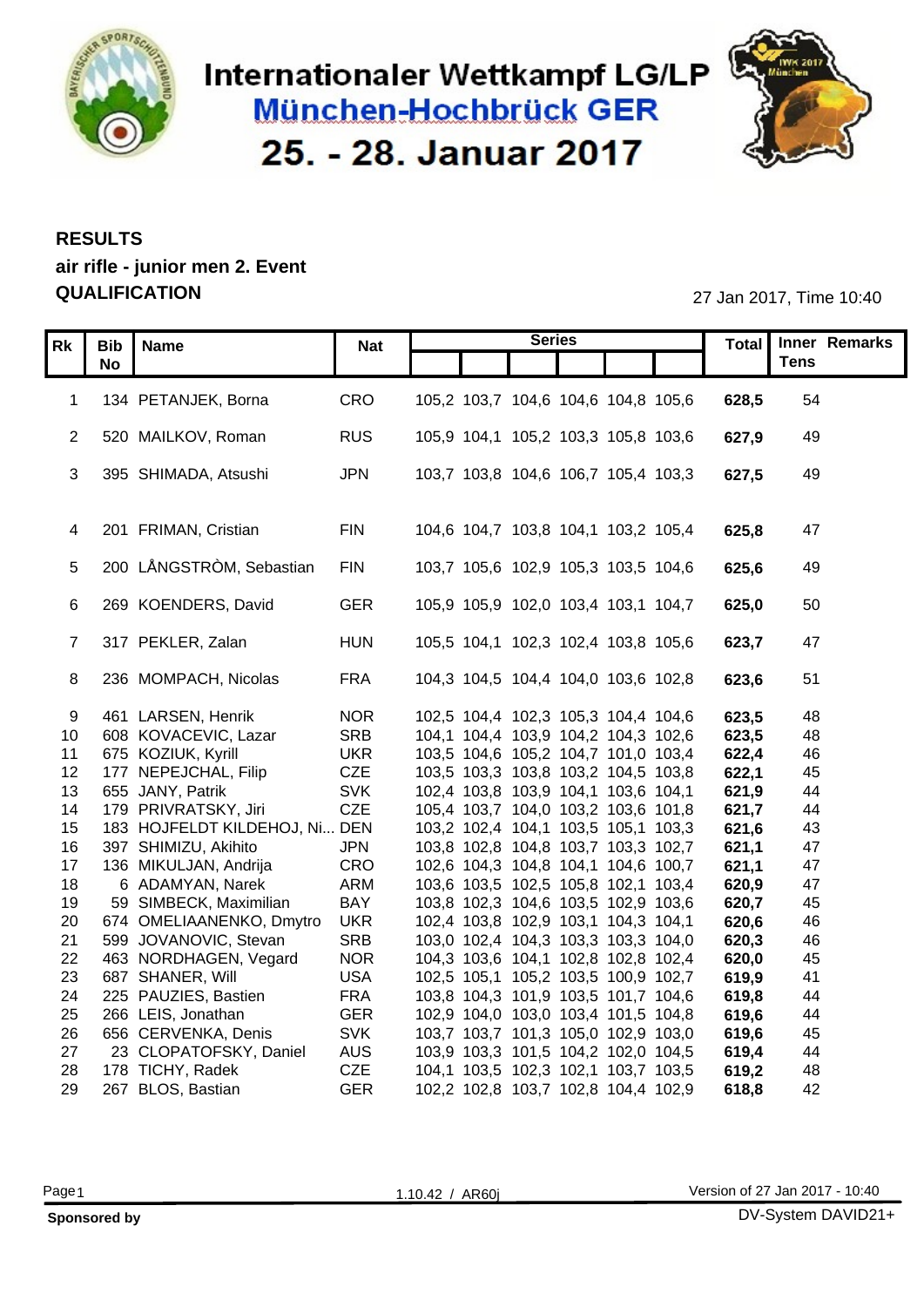

### Internationaler Wettkampf LG/LP **München-Hochbrück GER** 25. - 28. Januar 2017



#### **RESULTS air rifle - junior men 2. Event QUALIFICATION** 27 Jan 2017, Time 10:40

|                 |                  |                                  |            |                                     | <b>Series</b> |  |                 | Total Inner Remarks |
|-----------------|------------------|----------------------------------|------------|-------------------------------------|---------------|--|-----------------|---------------------|
|                 | $Rk$ Bib<br>  No | Name                             | <b>Nat</b> |                                     |               |  |                 | <b>Tens</b>         |
|                 |                  |                                  |            |                                     |               |  |                 |                     |
|                 |                  | 1 134 PETANJEK, Borna            | CRO        | 105,2 103,7 104,6 104,6 104,8 105,6 |               |  | <b>628,5</b> 54 |                     |
|                 |                  |                                  |            |                                     |               |  |                 |                     |
|                 |                  | 2 520 MAILKOV, Roman             | <b>RUS</b> | 105,9 104,1 105,2 103,3 105,8 103,6 |               |  | 627,9           | 49                  |
|                 |                  |                                  |            |                                     |               |  |                 |                     |
|                 |                  | 3 395 SHIMADA, Atsushi           | <b>JPN</b> | 103,7 103,8 104,6 106,7 105,4 103,3 |               |  | 627,5           | 49                  |
|                 |                  |                                  |            |                                     |               |  |                 |                     |
|                 |                  |                                  |            |                                     |               |  |                 |                     |
|                 |                  | 4 201 FRIMAN, Cristian           | <b>FIN</b> | 104,6 104,7 103,8 104,1 103,2 105,4 |               |  | 625,8           | 47                  |
|                 |                  |                                  |            |                                     |               |  |                 |                     |
|                 |                  | 5 200 LÅNGSTRÒM, Sebastian       | <b>FIN</b> | 103,7 105,6 102,9 105,3 103,5 104,6 |               |  | 625,6           | - 49                |
|                 |                  |                                  |            |                                     |               |  |                 |                     |
|                 |                  | 6 269 KOENDERS, David            | <b>GER</b> | 105,9 105,9 102,0 103,4 103,1 104,7 |               |  | 625,0           | 50                  |
|                 |                  |                                  |            |                                     |               |  |                 |                     |
|                 |                  | 7 317 PEKLER, Zalan              | HUN        | 105,5 104,1 102,3 102,4 103,8 105,6 |               |  | 623,7           | 47                  |
|                 |                  |                                  |            |                                     |               |  |                 |                     |
|                 |                  | 8 236 MOMPACH, Nicolas           | <b>FRA</b> | 104,3 104,5 104,4 104,0 103,6 102,8 |               |  | 623,6           | 51                  |
|                 |                  |                                  |            |                                     |               |  |                 |                     |
| 9               |                  | 461 LARSEN, Henrik               | <b>NOR</b> | 102,5 104,4 102,3 105,3 104,4 104,6 |               |  | 623,5           | 48                  |
|                 |                  | 10 608 KOVACEVIC, Lazar          | <b>SRB</b> | 104,1 104,4 103,9 104,2 104,3 102,6 |               |  | 623,5           | 48                  |
|                 |                  | 11 675 KOZIUK, Kyrill            | <b>UKR</b> | 103,5 104,6 105,2 104,7 101,0 103,4 |               |  | 622,4           | 46                  |
|                 |                  | 12 177 NEPEJCHAL, Filip          | <b>CZE</b> | 103,5 103,3 103,8 103,2 104,5 103,8 |               |  | 622,1           | 45                  |
|                 |                  | 13 655 JANY, Patrik              | <b>SVK</b> | 102,4 103,8 103,9 104,1 103,6 104,1 |               |  | 621,9           | 44                  |
|                 |                  | 14 179 PRIVRATSKY, Jiri          | <b>CZE</b> | 105,4 103,7 104,0 103,2 103,6 101,8 |               |  | 621,7           | 44                  |
|                 |                  | 15 183 HOJFELDT KILDEHOJ, Ni DEN |            | 103,2 102,4 104,1 103,5 105,1 103,3 |               |  | 621,6           | 43                  |
|                 |                  | 16 397 SHIMIZU, Akihito          | <b>JPN</b> | 103,8 102,8 104,8 103,7 103,3 102,7 |               |  | 621,1           | 47                  |
| 17 <sup>7</sup> |                  | 136 MIKULJAN, Andrija            | CRO        | 102,6 104,3 104,8 104,1 104,6 100,7 |               |  | 621,1           | 47                  |
| 18              |                  | 6 ADAMYAN, Narek                 | <b>ARM</b> | 103,6 103,5 102,5 105,8 102,1 103,4 |               |  | 620,9           | 47                  |
| 19              |                  | 59 SIMBECK, Maximilian           | <b>BAY</b> | 103,8 102,3 104,6 103,5 102,9 103,6 |               |  | 620,7           | 45                  |
| 20              |                  | 674 OMELIAANENKO, Dmytro UKR     |            | 102,4 103,8 102,9 103,1 104,3 104,1 |               |  | 620,6           | 46                  |
|                 |                  | 21 599 JOVANOVIC, Stevan         | <b>SRB</b> | 103,0 102,4 104,3 103,3 103,3 104,0 |               |  | 620,3           | 46                  |
|                 |                  | 22 463 NORDHAGEN, Vegard         | <b>NOR</b> | 104,3 103,6 104,1 102,8 102,8 102,4 |               |  | 620,0           | 45                  |
| 23              |                  | 687 SHANER, Will                 | <b>USA</b> | 102,5 105,1 105,2 103,5 100,9 102,7 |               |  | 619,9           | 41                  |
|                 |                  | 24 225 PAUZIES, Bastien          | <b>FRA</b> | 103,8 104,3 101,9 103,5 101,7 104,6 |               |  | 619,8           | 44                  |
|                 |                  | 25 266 LEIS, Jonathan            | <b>GER</b> | 102,9 104,0 103,0 103,4 101,5 104,8 |               |  | 619,6           | 44                  |
|                 |                  | 26 656 CERVENKA, Denis           | <b>SVK</b> | 103,7 103,7 101,3 105,0 102,9 103,0 |               |  | 619,6           | 45                  |
| 27              |                  | 23 CLOPATOFSKY, Daniel           | <b>AUS</b> | 103,9 103,3 101,5 104,2 102,0 104,5 |               |  | 619,4           | 44                  |
|                 |                  | 28 178 TICHY, Radek              | <b>CZE</b> | 104,1 103,5 102,3 102,1 103,7 103,5 |               |  | 619,2           | 48                  |
|                 |                  | 29 267 BLOS, Bastian             | <b>GER</b> | 102,2 102,8 103,7 102,8 104,4 102,9 |               |  | 618,8           | 42                  |

| ۰.<br>× |  |
|---------|--|
|---------|--|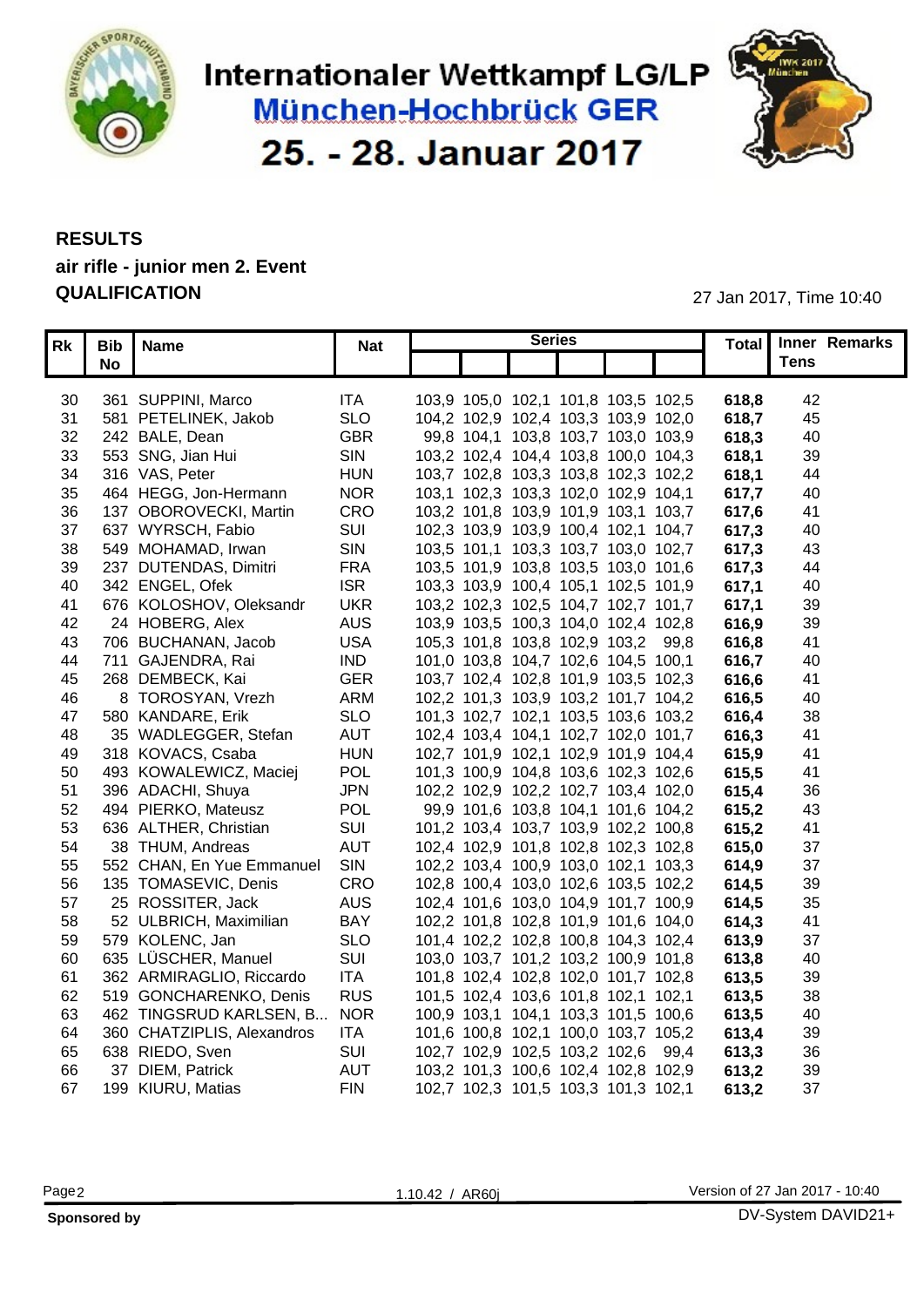

# Internationaler Wettkampf LG/LP **München-Hochbrück GER** 25. - 28. Januar 2017



#### **RESULTS air rifle - junior men 2. Event QUALIFICATION** 27 Jan 2017, Time 10:40

|    | Rk   Bib   Name               | <b>Nat</b> | <b>Series</b> |                                     |       | Total Inner Remarks |
|----|-------------------------------|------------|---------------|-------------------------------------|-------|---------------------|
|    | <b>No</b>                     |            |               |                                     |       | <b>Tens</b>         |
|    |                               |            |               |                                     |       |                     |
|    | 30 361 SUPPINI, Marco         | <b>ITA</b> |               | 103,9 105,0 102,1 101,8 103,5 102,5 | 618,8 | 42                  |
|    | 31 581 PETELINEK, Jakob       | <b>SLO</b> |               | 104,2 102,9 102,4 103,3 103,9 102,0 | 618,7 | 45                  |
|    | 32 242 BALE, Dean             | <b>GBR</b> |               | 99,8 104,1 103,8 103,7 103,0 103,9  | 618,3 | 40                  |
|    | 33 553 SNG, Jian Hui          | SIN        |               | 103,2 102,4 104,4 103,8 100,0 104,3 | 618.1 | 39                  |
|    | 34 316 VAS, Peter             | <b>HUN</b> |               | 103,7 102,8 103,3 103,8 102,3 102,2 | 618.1 | 44                  |
| 35 | 464 HEGG, Jon-Hermann         | <b>NOR</b> |               | 103,1 102,3 103,3 102,0 102,9 104,1 | 617.7 | 40                  |
|    | 36 137 OBOROVECKI, Martin     | CRO        |               | 103,2 101,8 103,9 101,9 103,1 103,7 | 617.6 | 41                  |
| 37 | 637 WYRSCH, Fabio             | SUI        |               | 102,3 103,9 103,9 100,4 102,1 104,7 | 617,3 | 40                  |
| 38 | 549 MOHAMAD, Irwan            | <b>SIN</b> |               | 103,5 101,1 103,3 103,7 103,0 102,7 | 617,3 | 43                  |
|    | 39 237 DUTENDAS, Dimitri      | <b>FRA</b> |               | 103,5 101,9 103,8 103,5 103,0 101,6 | 617.3 | 44                  |
|    | 40 342 ENGEL, Ofek            | <b>ISR</b> |               | 103,3 103,9 100,4 105,1 102,5 101,9 | 617.1 | 40                  |
|    | 41 676 KOLOSHOV, Oleksandr    | <b>UKR</b> |               | 103,2 102,3 102,5 104,7 102,7 101,7 | 617.7 | 39                  |
| 42 | 24 HOBERG, Alex               | <b>AUS</b> |               | 103,9 103,5 100,3 104,0 102,4 102,8 | 616,9 | 39                  |
|    | 43 706 BUCHANAN, Jacob        | <b>USA</b> |               | 105,3 101,8 103,8 102,9 103,2 99,8  | 616,8 | 41                  |
|    | 44 711 GAJENDRA, Rai          | <b>IND</b> |               | 101,0 103,8 104,7 102,6 104,5 100,1 | 616,7 | 40                  |
| 45 | 268 DEMBECK, Kai              | <b>GER</b> |               | 103,7 102,4 102,8 101,9 103,5 102,3 | 616,6 | 41                  |
| 46 | 8 TOROSYAN, Vrezh             | <b>ARM</b> |               | 102,2 101,3 103,9 103,2 101,7 104,2 | 616,5 | 40                  |
| 47 | 580 KANDARE, Erik             | <b>SLO</b> |               | 101,3 102,7 102,1 103,5 103,6 103,2 | 616,4 | 38                  |
| 48 | 35 WADLEGGER, Stefan          | AUT        |               | 102,4 103,4 104,1 102,7 102,0 101,7 | 616,3 | 41                  |
|    | 49 318 KOVACS, Csaba          | <b>HUN</b> |               | 102,7 101,9 102,1 102,9 101,9 104,4 | 615,9 | 41                  |
|    | 50 493 KOWALEWICZ, Maciej     | POL        |               | 101,3 100,9 104,8 103,6 102,3 102,6 | 615,5 | 41                  |
|    | 51 396 ADACHI, Shuya          | <b>JPN</b> |               | 102,2 102,9 102,2 102,7 103,4 102,0 | 615,4 | 36                  |
|    | 52 494 PIERKO, Mateusz        | POL        |               | 99,9 101,6 103,8 104,1 101,6 104,2  | 615,2 | 43                  |
| 53 | 636 ALTHER, Christian         | SU         |               | 101,2 103,4 103,7 103,9 102,2 100,8 | 615,2 | 41                  |
| 54 | 38 THUM, Andreas              | <b>AUT</b> |               | 102,4 102,9 101,8 102,8 102,3 102,8 | 615,0 | 37                  |
| 55 | 552 CHAN, En Yue Emmanuel     | SIN        |               | 102,2 103,4 100,9 103,0 102,1 103,3 | 614,9 | 37                  |
| 56 | 135 TOMASEVIC, Denis          | CRO        |               | 102,8 100,4 103,0 102,6 103,5 102,2 | 614,5 | 39                  |
| 57 | 25 ROSSITER, Jack             | <b>AUS</b> |               | 102,4 101,6 103,0 104,9 101,7 100,9 | 614,5 | 35                  |
| 58 | 52 ULBRICH, Maximilian        | <b>BAY</b> |               | 102,2 101,8 102,8 101,9 101,6 104,0 | 614,3 | 41                  |
|    | 59 579 KOLENC, Jan            | <b>SLO</b> |               | 101,4 102,2 102,8 100,8 104,3 102,4 | 613,9 | 37                  |
| 60 | 635 LÜSCHER, Manuel           | SUI        |               | 103,0 103,7 101,2 103,2 100,9 101,8 | 613,8 | 40                  |
| 61 | 362 ARMIRAGLIO, Riccardo      | <b>ITA</b> |               | 101,8 102,4 102,8 102,0 101,7 102,8 | 613,5 | 39                  |
| 62 | 519 GONCHARENKO, Denis        | <b>RUS</b> |               | 101,5 102,4 103,6 101,8 102,1 102,1 | 613,5 | 38                  |
| 63 | 462 TINGSRUD KARLSEN, B NOR   |            |               | 100,9 103,1 104,1 103,3 101,5 100,6 | 613,5 | 40                  |
|    | 64 360 CHATZIPLIS, Alexandros | <b>ITA</b> |               | 101,6 100,8 102,1 100,0 103,7 105,2 | 613,4 | 39                  |
| 65 | 638 RIEDO, Sven               | SUI        |               | 102,7 102,9 102,5 103,2 102,6 99,4  | 613,3 | 36                  |
| 66 | 37 DIEM, Patrick              | <b>AUT</b> |               | 103,2 101,3 100,6 102,4 102,8 102,9 | 613,2 | 39                  |
|    | 67 199 KIURU, Matias          | <b>FIN</b> |               | 102,7 102,3 101,5 103,3 101,3 102,1 | 613,2 | 37                  |
|    |                               |            |               |                                     |       |                     |